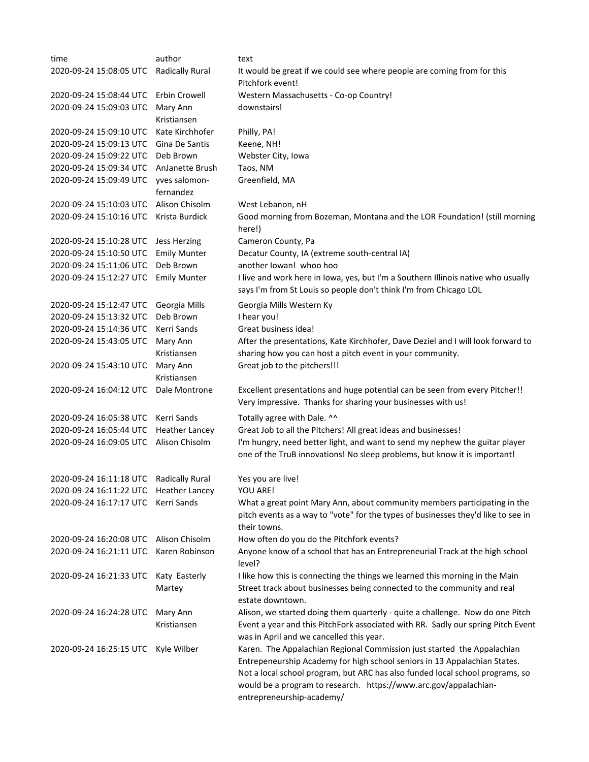| time                    | author                     | text                                                                                                                                                                                                                                                                                                                                   |
|-------------------------|----------------------------|----------------------------------------------------------------------------------------------------------------------------------------------------------------------------------------------------------------------------------------------------------------------------------------------------------------------------------------|
| 2020-09-24 15:08:05 UTC | Radically Rural            | It would be great if we could see where people are coming from for this<br>Pitchfork event!                                                                                                                                                                                                                                            |
| 2020-09-24 15:08:44 UTC | Erbin Crowell              | Western Massachusetts - Co-op Country!                                                                                                                                                                                                                                                                                                 |
| 2020-09-24 15:09:03 UTC | Mary Ann<br>Kristiansen    | downstairs!                                                                                                                                                                                                                                                                                                                            |
| 2020-09-24 15:09:10 UTC | Kate Kirchhofer            | Philly, PA!                                                                                                                                                                                                                                                                                                                            |
| 2020-09-24 15:09:13 UTC | Gina De Santis             | Keene, NH!                                                                                                                                                                                                                                                                                                                             |
| 2020-09-24 15:09:22 UTC | Deb Brown                  | Webster City, Iowa                                                                                                                                                                                                                                                                                                                     |
| 2020-09-24 15:09:34 UTC | AnJanette Brush            | Taos, NM                                                                                                                                                                                                                                                                                                                               |
| 2020-09-24 15:09:49 UTC | yves salomon-<br>fernandez | Greenfield, MA                                                                                                                                                                                                                                                                                                                         |
| 2020-09-24 15:10:03 UTC | Alison Chisolm             | West Lebanon, nH                                                                                                                                                                                                                                                                                                                       |
| 2020-09-24 15:10:16 UTC | Krista Burdick             | Good morning from Bozeman, Montana and the LOR Foundation! (still morning<br>here!)                                                                                                                                                                                                                                                    |
| 2020-09-24 15:10:28 UTC | Jess Herzing               | Cameron County, Pa                                                                                                                                                                                                                                                                                                                     |
| 2020-09-24 15:10:50 UTC | <b>Emily Munter</b>        | Decatur County, IA (extreme south-central IA)                                                                                                                                                                                                                                                                                          |
| 2020-09-24 15:11:06 UTC | Deb Brown                  | another lowan! whoo hoo                                                                                                                                                                                                                                                                                                                |
| 2020-09-24 15:12:27 UTC | <b>Emily Munter</b>        | I live and work here in Iowa, yes, but I'm a Southern Illinois native who usually<br>says I'm from St Louis so people don't think I'm from Chicago LOL                                                                                                                                                                                 |
| 2020-09-24 15:12:47 UTC | Georgia Mills              | Georgia Mills Western Ky                                                                                                                                                                                                                                                                                                               |
| 2020-09-24 15:13:32 UTC | Deb Brown                  | I hear you!                                                                                                                                                                                                                                                                                                                            |
| 2020-09-24 15:14:36 UTC | Kerri Sands                | Great business idea!                                                                                                                                                                                                                                                                                                                   |
| 2020-09-24 15:43:05 UTC | Mary Ann<br>Kristiansen    | After the presentations, Kate Kirchhofer, Dave Deziel and I will look forward to<br>sharing how you can host a pitch event in your community.                                                                                                                                                                                          |
| 2020-09-24 15:43:10 UTC | Mary Ann<br>Kristiansen    | Great job to the pitchers!!!                                                                                                                                                                                                                                                                                                           |
| 2020-09-24 16:04:12 UTC | Dale Montrone              | Excellent presentations and huge potential can be seen from every Pitcher!!<br>Very impressive. Thanks for sharing your businesses with us!                                                                                                                                                                                            |
| 2020-09-24 16:05:38 UTC | Kerri Sands                | Totally agree with Dale. ^^                                                                                                                                                                                                                                                                                                            |
| 2020-09-24 16:05:44 UTC | <b>Heather Lancey</b>      | Great Job to all the Pitchers! All great ideas and businesses!                                                                                                                                                                                                                                                                         |
| 2020-09-24 16:09:05 UTC | Alison Chisolm             | I'm hungry, need better light, and want to send my nephew the guitar player<br>one of the TruB innovations! No sleep problems, but know it is important!                                                                                                                                                                               |
| 2020-09-24 16:11:18 UTC | <b>Radically Rural</b>     | Yes you are live!                                                                                                                                                                                                                                                                                                                      |
| 2020-09-24 16:11:22 UTC | <b>Heather Lancey</b>      | YOU ARE!                                                                                                                                                                                                                                                                                                                               |
| 2020-09-24 16:17:17 UTC | Kerri Sands                | What a great point Mary Ann, about community members participating in the<br>pitch events as a way to "vote" for the types of businesses they'd like to see in<br>their towns.                                                                                                                                                         |
| 2020-09-24 16:20:08 UTC | Alison Chisolm             | How often do you do the Pitchfork events?                                                                                                                                                                                                                                                                                              |
| 2020-09-24 16:21:11 UTC | Karen Robinson             | Anyone know of a school that has an Entrepreneurial Track at the high school<br>level?                                                                                                                                                                                                                                                 |
| 2020-09-24 16:21:33 UTC | Katy Easterly<br>Martey    | I like how this is connecting the things we learned this morning in the Main<br>Street track about businesses being connected to the community and real<br>estate downtown.                                                                                                                                                            |
| 2020-09-24 16:24:28 UTC | Mary Ann<br>Kristiansen    | Alison, we started doing them quarterly - quite a challenge. Now do one Pitch<br>Event a year and this PitchFork associated with RR. Sadly our spring Pitch Event<br>was in April and we cancelled this year.                                                                                                                          |
| 2020-09-24 16:25:15 UTC | Kyle Wilber                | Karen. The Appalachian Regional Commission just started the Appalachian<br>Entrepeneurship Academy for high school seniors in 13 Appalachian States.<br>Not a local school program, but ARC has also funded local school programs, so<br>would be a program to research. https://www.arc.gov/appalachian-<br>entrepreneurship-academy/ |